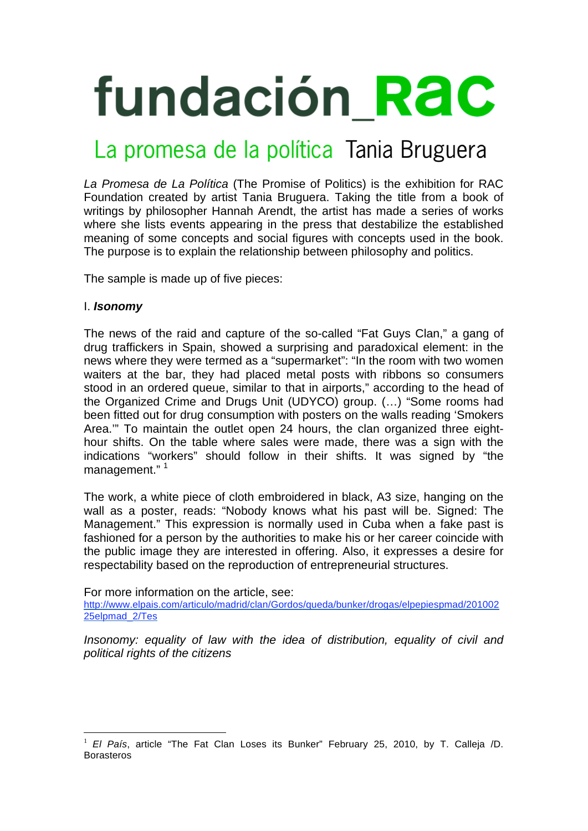# **fundación RaC**

## La promesa de la política Tania Bruguera

*La Promesa de La Política* (The Promise of Politics) is the exhibition for RAC Foundation created by artist Tania Bruguera. Taking the title from a book of writings by philosopher Hannah Arendt, the artist has made a series of works where she lists events appearing in the press that destabilize the established meaning of some concepts and social figures with concepts used in the book. The purpose is to explain the relationship between philosophy and politics.

The sample is made up of five pieces:

## I. *Isonomy*

The news of the raid and capture of the so-called "Fat Guys Clan," a gang of drug traffickers in Spain, showed a surprising and paradoxical element: in the news where they were termed as a "supermarket": "In the room with two women waiters at the bar, they had placed metal posts with ribbons so consumers stood in an ordered queue, similar to that in airports," according to the head of the Organized Crime and Drugs Unit (UDYCO) group. (…) "Some rooms had been fitted out for drug consumption with posters on the walls reading 'Smokers Area.'" To maintain the outlet open 24 hours, the clan organized three eighthour shifts. On the table where sales were made, there was a sign with the indications "workers" should follow in their shifts. It was signed by "the management."<sup>1</sup>

The work, a white piece of cloth embroidered in black, A3 size, hanging on the wall as a poster, reads: "Nobody knows what his past will be. Signed: The Management." This expression is normally used in Cuba when a fake past is fashioned for a person by the authorities to make his or her career coincide with the public image they are interested in offering. Also, it expresses a desire for respectability based on the reproduction of entrepreneurial structures.

For more information on the article, see: http://www.elpais.com/articulo/madrid/clan/Gordos/queda/bunker/drogas/elpepiespmad/201002 25elpmad\_2/Tes

*Insonomy: equality of law with the idea of distribution, equality of civil and political rights of the citizens* 

 $\overline{a}$ <sup>1</sup> *El País*, article "The Fat Clan Loses its Bunker" February 25, 2010, by T. Calleja /D. **Borasteros**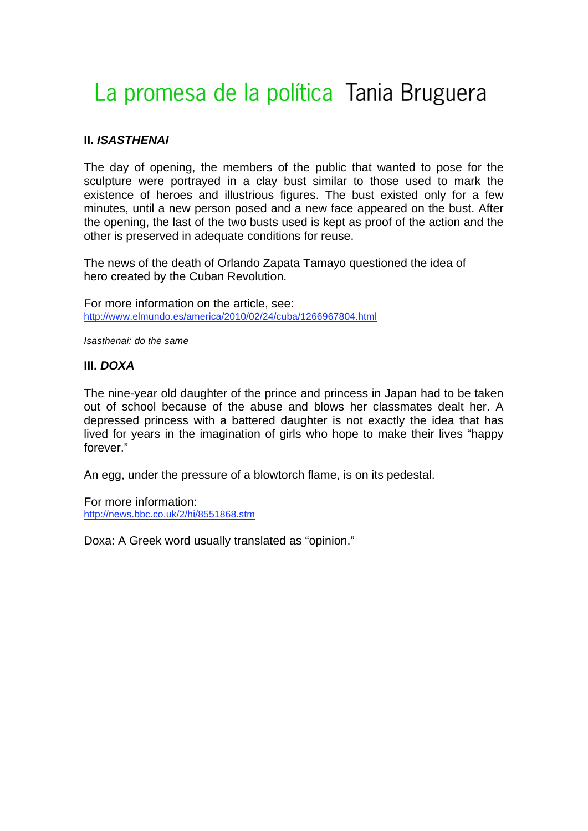# La promesa de la política Tania Bruguera

#### **II.** *ISASTHENAI*

The day of opening, the members of the public that wanted to pose for the sculpture were portrayed in a clay bust similar to those used to mark the existence of heroes and illustrious figures. The bust existed only for a few minutes, until a new person posed and a new face appeared on the bust. After the opening, the last of the two busts used is kept as proof of the action and the other is preserved in adequate conditions for reuse.

The news of the death of Orlando Zapata Tamayo questioned the idea of hero created by the Cuban Revolution.

For more information on the article, see: http://www.elmundo.es/america/2010/02/24/cuba/1266967804.html

*Isasthenai: do the same* 

#### **III.** *DOXA*

The nine-year old daughter of the prince and princess in Japan had to be taken out of school because of the abuse and blows her classmates dealt her. A depressed princess with a battered daughter is not exactly the idea that has lived for years in the imagination of girls who hope to make their lives "happy forever."

An egg, under the pressure of a blowtorch flame, is on its pedestal.

For more information: http://news.bbc.co.uk/2/hi/8551868.stm

Doxa: A Greek word usually translated as "opinion."